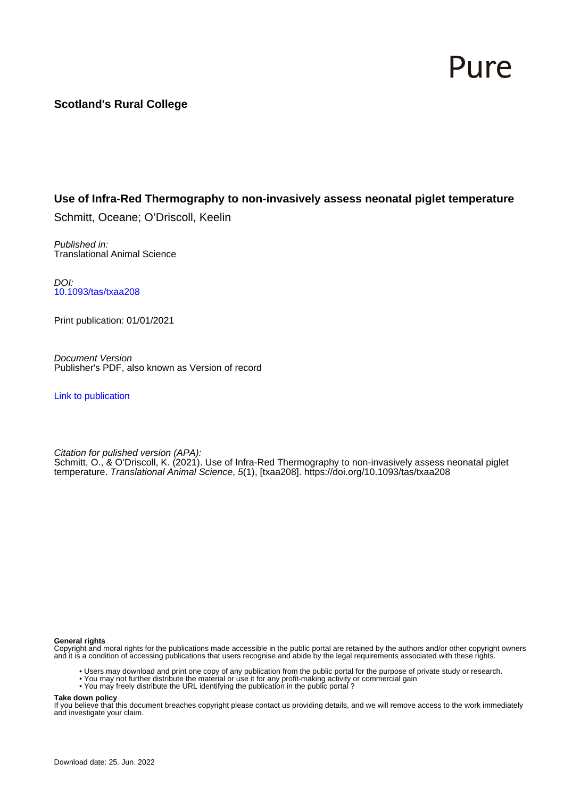# Pure

# **Scotland's Rural College**

# **Use of Infra-Red Thermography to non-invasively assess neonatal piglet temperature**

Schmitt, Oceane; O'Driscoll, Keelin

Published in: Translational Animal Science

DOI: [10.1093/tas/txaa208](https://doi.org/10.1093/tas/txaa208)

Print publication: 01/01/2021

Document Version Publisher's PDF, also known as Version of record

[Link to publication](https://pure.sruc.ac.uk/en/publications/b9a9a5bd-72f1-4f45-8fcd-8ba4d9202021)

Citation for pulished version (APA): Schmitt, O., & O'Driscoll, K. (2021). Use of Infra-Red Thermography to non-invasively assess neonatal piglet temperature. Translational Animal Science, 5(1), [txaa208]. <https://doi.org/10.1093/tas/txaa208>

#### **General rights**

Copyright and moral rights for the publications made accessible in the public portal are retained by the authors and/or other copyright owners and it is a condition of accessing publications that users recognise and abide by the legal requirements associated with these rights.

- Users may download and print one copy of any publication from the public portal for the purpose of private study or research.
- You may not further distribute the material or use it for any profit-making activity or commercial gain
- You may freely distribute the URL identifying the publication in the public portal ?

#### **Take down policy**

If you believe that this document breaches copyright please contact us providing details, and we will remove access to the work immediately and investigate your claim.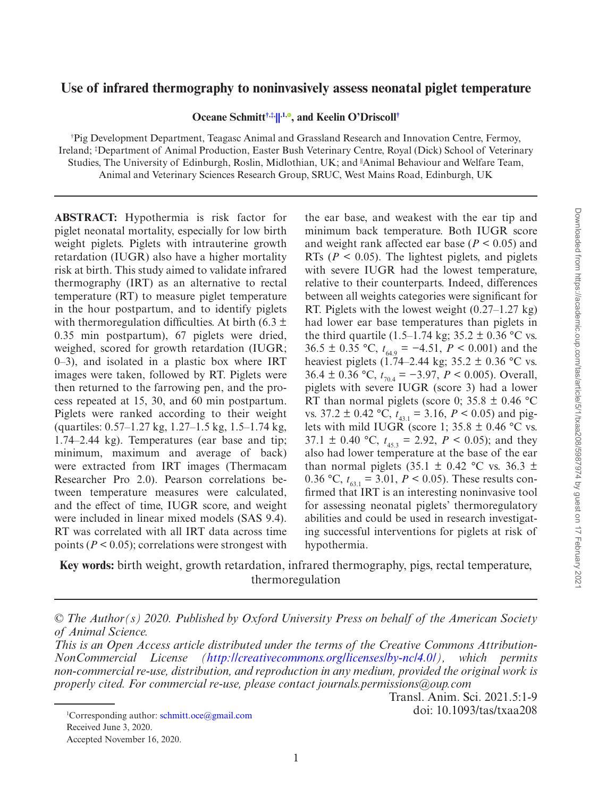## **Use of infrared thermography to noninvasively assess neonatal piglet temperature**

**Oceane Schmitt[†](#page-1-0),[‡,](#page-1-1) [||,1](#page-1-0)[,](http://orcid.org/0000-0003-4932-3743) , and Keelin O'Driscoll[†](#page-1-0)**

<span id="page-1-1"></span><span id="page-1-0"></span>† Pig Development Department, Teagasc Animal and Grassland Research and Innovation Centre, Fermoy, Ireland; ‡ Department of Animal Production, Easter Bush Veterinary Centre, Royal (Dick) School of Veterinary Studies, The University of Edinburgh, Roslin, Midlothian, UK; and <sup>||</sup>Animal Behaviour and Welfare Team, Animal and Veterinary Sciences Research Group, SRUC, West Mains Road, Edinburgh, UK

**ABSTRACT:**  Hypothermia is risk factor for piglet neonatal mortality, especially for low birth weight piglets. Piglets with intrauterine growth retardation (IUGR) also have a higher mortality risk at birth. This study aimed to validate infrared thermography (IRT) as an alternative to rectal temperature (RT) to measure piglet temperature in the hour postpartum, and to identify piglets with thermoregulation difficulties. At birth (6.3  $\pm$ 0.35 min postpartum), 67 piglets were dried, weighed, scored for growth retardation (IUGR; 0–3), and isolated in a plastic box where IRT images were taken, followed by RT. Piglets were then returned to the farrowing pen, and the process repeated at 15, 30, and 60 min postpartum. Piglets were ranked according to their weight (quartiles: 0.57–1.27 kg, 1.27–1.5 kg, 1.5–1.74 kg, 1.74–2.44 kg). Temperatures (ear base and tip; minimum, maximum and average of back) were extracted from IRT images (Thermacam Researcher Pro 2.0). Pearson correlations between temperature measures were calculated, and the effect of time, IUGR score, and weight were included in linear mixed models (SAS 9.4). RT was correlated with all IRT data across time points ( $P < 0.05$ ); correlations were strongest with

the ear base, and weakest with the ear tip and minimum back temperature. Both IUGR score and weight rank affected ear base ( $P < 0.05$ ) and RTs ( $P < 0.05$ ). The lightest piglets, and piglets with severe IUGR had the lowest temperature, relative to their counterparts. Indeed, differences between all weights categories were significant for RT. Piglets with the lowest weight (0.27–1.27 kg) had lower ear base temperatures than piglets in the third quartile (1.5–1.74 kg;  $35.2 \pm 0.36$  °C vs. 36.5 ± 0.35 °C,  $t_{64.9} = -4.51$ ,  $P < 0.001$ ) and the heaviest piglets (1.74–2.44 kg; 35.2  $\pm$  0.36 °C vs. 36.4 ± 0.36 °C,  $t_{70.4}$  = −3.97, *P* < 0.005). Overall, piglets with severe IUGR (score 3) had a lower RT than normal piglets (score 0; 35.8  $\pm$  0.46 °C vs.  $37.2 \pm 0.42$  °C,  $t_{43,1} = 3.16$ ,  $P < 0.05$ ) and piglets with mild IUGR (score 1;  $35.8 \pm 0.46$  °C vs. 37.1  $\pm$  0.40 °C,  $t_{45.3}$  = 2.92,  $P < 0.05$ ); and they also had lower temperature at the base of the ear than normal piglets  $(35.1 \pm 0.42 \degree C \text{ vs. } 36.3 \pm 1.0 \degree C \text{ vs. } 36.3 \pm 1.0 \degree C \text{ vs. } 36.3 \pm 1.0 \degree C \text{ vs. } 36.3 \pm 1.0 \degree C \text{ vs. } 36.3 \pm 1.0 \degree C \text{ vs. } 36.3 \pm 1.0 \degree C \text{ vs. } 36.3 \pm 1.0 \degree C \text{ vs. } 36.3 \pm 1.0 \degree C \text{ vs. } 36.3 \pm 1.0 \degree C \text{ vs.$ 0.36 °C,  $t_{63} = 3.01$ ,  $P < 0.05$ ). These results confirmed that IRT is an interesting noninvasive tool for assessing neonatal piglets' thermoregulatory abilities and could be used in research investigating successful interventions for piglets at risk of hypothermia.

**Key words:** birth weight, growth retardation, infrared thermography, pigs, rectal temperature, thermoregulation

*© The Author(s) 2020. Published by Oxford University Press on behalf of the American Society of Animal Science.*

*This is an Open Access article distributed under the terms of the Creative Commons Attribution-NonCommercial License (<http://creativecommons.org/licenses/by-nc/4.0/>), which permits non-commercial re-use, distribution, and reproduction in any medium, provided the original work is properly cited. For commercial re-use, please contact journals.permissions@oup.com*

Transl. Anim. Sci. 2021.5:1-9 doi: 10.1093/tas/txaa208

<sup>&</sup>lt;sup>1</sup>Corresponding author: [schmitt.oce@gmail.com](mailto:schmitt.oce@gmail.com?subject=) Received June 3, 2020. Accepted November 16, 2020.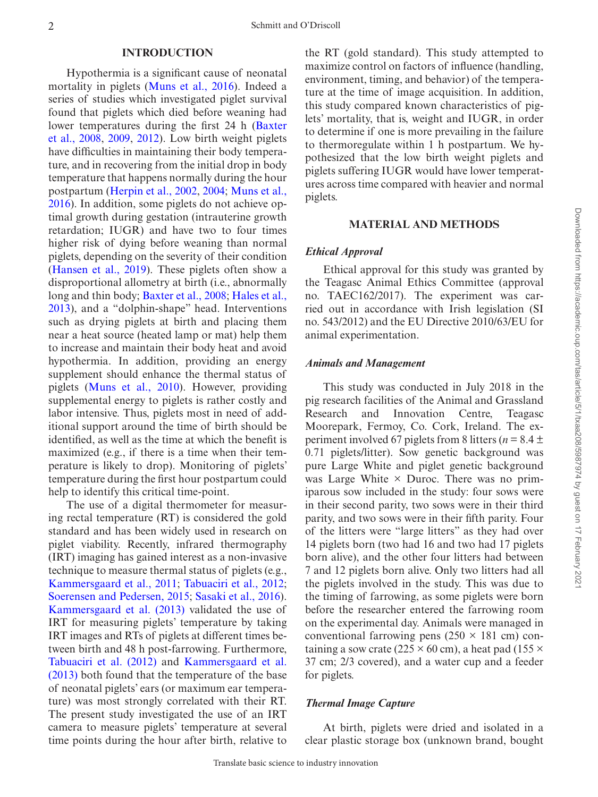#### **INTRODUCTION**

Hypothermia is a significant cause of neonatal mortality in piglets [\(Muns et al., 2016](#page-9-0)). Indeed a series of studies which investigated piglet survival found that piglets which died before weaning had lower temperatures during the first 24 h ([Baxter](#page-9-1) [et al., 2008,](#page-9-1) [2009](#page-9-2), [2012](#page-9-3)). Low birth weight piglets have difficulties in maintaining their body temperature, and in recovering from the initial drop in body temperature that happens normally during the hour postpartum [\(Herpin et al., 2002,](#page-9-4) [2004](#page-9-5); [Muns et al.,](#page-9-0)  [2016\)](#page-9-0). In addition, some piglets do not achieve optimal growth during gestation (intrauterine growth retardation; IUGR) and have two to four times higher risk of dying before weaning than normal piglets, depending on the severity of their condition (Hansen et al., 2019). These piglets often show a disproportional allometry at birth (i.e., abnormally long and thin body; [Baxter et al., 2008;](#page-9-1) [Hales et al.,](#page-9-7)  [2013\)](#page-9-7), and a "dolphin-shape" head. Interventions such as drying piglets at birth and placing them near a heat source (heated lamp or mat) help them to increase and maintain their body heat and avoid hypothermia. In addition, providing an energy supplement should enhance the thermal status of piglets ([Muns et al., 2010](#page-9-8)). However, providing supplemental energy to piglets is rather costly and labor intensive. Thus, piglets most in need of additional support around the time of birth should be identified, as well as the time at which the benefit is maximized (e.g., if there is a time when their temperature is likely to drop). Monitoring of piglets' temperature during the first hour postpartum could help to identify this critical time-point.

The use of a digital thermometer for measuring rectal temperature (RT) is considered the gold standard and has been widely used in research on piglet viability. Recently, infrared thermography (IRT) imaging has gained interest as a non-invasive technique to measure thermal status of piglets (e.g., [Kammersgaard et al., 2011;](#page-9-9) [Tabuaciri et al., 2012](#page-9-10); [Soerensen and Pedersen, 2015](#page-9-11); [Sasaki et al., 2016](#page-9-12)). [Kammersgaard et al. \(2013\)](#page-9-13) validated the use of IRT for measuring piglets' temperature by taking IRT images and RTs of piglets at different times between birth and 48 h post-farrowing. Furthermore, [Tabuaciri et al. \(2012\)](#page-9-10) and [Kammersgaard et al.](#page-9-13)  [\(2013\)](#page-9-13) both found that the temperature of the base of neonatal piglets' ears (or maximum ear temperature) was most strongly correlated with their RT. The present study investigated the use of an IRT camera to measure piglets' temperature at several time points during the hour after birth, relative to

the RT (gold standard). This study attempted to maximize control on factors of influence (handling, environment, timing, and behavior) of the temperature at the time of image acquisition. In addition, this study compared known characteristics of piglets' mortality, that is, weight and IUGR, in order to determine if one is more prevailing in the failure to thermoregulate within 1 h postpartum. We hypothesized that the low birth weight piglets and piglets suffering IUGR would have lower temperatures across time compared with heavier and normal piglets.

#### **MATERIAL AND METHODS**

#### *Ethical Approval*

Ethical approval for this study was granted by the Teagasc Animal Ethics Committee (approval no. TAEC162/2017). The experiment was carried out in accordance with Irish legislation (SI no. 543/2012) and the EU Directive 2010/63/EU for animal experimentation.

#### *Animals and Management*

This study was conducted in July 2018 in the pig research facilities of the Animal and Grassland Research and Innovation Centre, Teagasc Moorepark, Fermoy, Co. Cork, Ireland. The experiment involved 67 piglets from 8 litters ( $n = 8.4 \pm$ 0.71 piglets/litter). Sow genetic background was pure Large White and piglet genetic background was Large White  $\times$  Duroc. There was no primiparous sow included in the study: four sows were in their second parity, two sows were in their third parity, and two sows were in their fifth parity. Four of the litters were "large litters" as they had over 14 piglets born (two had 16 and two had 17 piglets born alive), and the other four litters had between 7 and 12 piglets born alive. Only two litters had all the piglets involved in the study. This was due to the timing of farrowing, as some piglets were born before the researcher entered the farrowing room on the experimental day. Animals were managed in conventional farrowing pens  $(250 \times 181 \text{ cm})$  containing a sow crate (225  $\times$  60 cm), a heat pad (155  $\times$ 37 cm; 2/3 covered), and a water cup and a feeder for piglets.

## *Thermal Image Capture*

At birth, piglets were dried and isolated in a clear plastic storage box (unknown brand, bought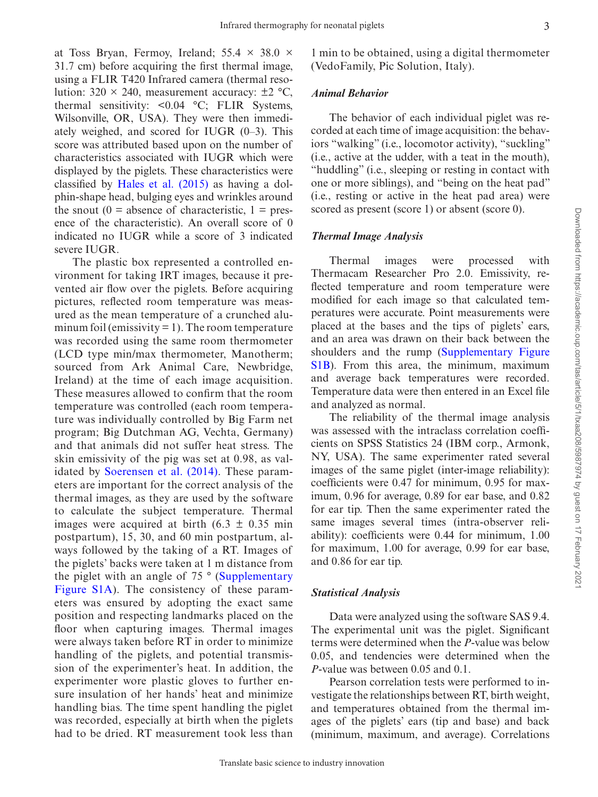at Toss Bryan, Fermoy, Ireland;  $55.4 \times 38.0 \times$ 31.7 cm) before acquiring the first thermal image, using a FLIR T420 Infrared camera (thermal resolution:  $320 \times 240$ , measurement accuracy:  $\pm 2 \degree C$ , thermal sensitivity: <0.04 °C; FLIR Systems, Wilsonville, OR, USA). They were then immediately weighed, and scored for IUGR (0–3). This score was attributed based upon on the number of characteristics associated with IUGR which were displayed by the piglets. These characteristics were classified by [Hales et al. \(2015\)](#page-9-14) as having a dolphin-shape head, bulging eyes and wrinkles around the snout  $(0 = \text{absence of characteristic}, 1 = \text{pres-}$ ence of the characteristic). An overall score of 0 indicated no IUGR while a score of 3 indicated severe IUGR.

The plastic box represented a controlled environment for taking IRT images, because it prevented air flow over the piglets. Before acquiring pictures, reflected room temperature was measured as the mean temperature of a crunched aluminum foil (emissivity  $= 1$ ). The room temperature was recorded using the same room thermometer (LCD type min/max thermometer, Manotherm; sourced from Ark Animal Care, Newbridge, Ireland) at the time of each image acquisition. These measures allowed to confirm that the room temperature was controlled (each room temperature was individually controlled by Big Farm net program; Big Dutchman AG, Vechta, Germany) and that animals did not suffer heat stress. The skin emissivity of the pig was set at 0.98, as validated by [Soerensen et al. \(2014\)](#page-9-15). These parameters are important for the correct analysis of the thermal images, as they are used by the software to calculate the subject temperature. Thermal images were acquired at birth  $(6.3 \pm 0.35 \text{ min})$ postpartum), 15, 30, and 60 min postpartum, always followed by the taking of a RT. Images of the piglets' backs were taken at 1 m distance from the piglet with an angle of 75 ° ([Supplementary](http://academic.oup.com/tas/article-lookup/doi/10.1093/tas/txaa208#supplementary-data) [Figure S1A](http://academic.oup.com/tas/article-lookup/doi/10.1093/tas/txaa208#supplementary-data)). The consistency of these parameters was ensured by adopting the exact same position and respecting landmarks placed on the floor when capturing images. Thermal images were always taken before RT in order to minimize handling of the piglets, and potential transmission of the experimenter's heat. In addition, the experimenter wore plastic gloves to further ensure insulation of her hands' heat and minimize handling bias. The time spent handling the piglet was recorded, especially at birth when the piglets had to be dried. RT measurement took less than

## *Animal Behavior*

The behavior of each individual piglet was recorded at each time of image acquisition: the behaviors "walking" (i.e., locomotor activity), "suckling" (i.e., active at the udder, with a teat in the mouth), "huddling" (i.e., sleeping or resting in contact with one or more siblings), and "being on the heat pad" (i.e., resting or active in the heat pad area) were scored as present (score 1) or absent (score 0).

## *Thermal Image Analysis*

Thermal images were processed with Thermacam Researcher Pro 2.0. Emissivity, reflected temperature and room temperature were modified for each image so that calculated temperatures were accurate. Point measurements were placed at the bases and the tips of piglets' ears, and an area was drawn on their back between the shoulders and the rump [\(Supplementary Figure](http://academic.oup.com/tas/article-lookup/doi/10.1093/tas/txaa208#supplementary-data) [S1B\)](http://academic.oup.com/tas/article-lookup/doi/10.1093/tas/txaa208#supplementary-data). From this area, the minimum, maximum and average back temperatures were recorded. Temperature data were then entered in an Excel file and analyzed as normal.

The reliability of the thermal image analysis was assessed with the intraclass correlation coefficients on SPSS Statistics 24 (IBM corp., Armonk, NY, USA). The same experimenter rated several images of the same piglet (inter-image reliability): coefficients were 0.47 for minimum, 0.95 for maximum, 0.96 for average, 0.89 for ear base, and 0.82 for ear tip. Then the same experimenter rated the same images several times (intra-observer reliability): coefficients were 0.44 for minimum, 1.00 for maximum, 1.00 for average, 0.99 for ear base, and 0.86 for ear tip.

## *Statistical Analysis*

Data were analyzed using the software SAS 9.4. The experimental unit was the piglet. Significant terms were determined when the *P*-value was below 0.05, and tendencies were determined when the *P*-value was between 0.05 and 0.1.

Pearson correlation tests were performed to investigate the relationships between RT, birth weight, and temperatures obtained from the thermal images of the piglets' ears (tip and base) and back (minimum, maximum, and average). Correlations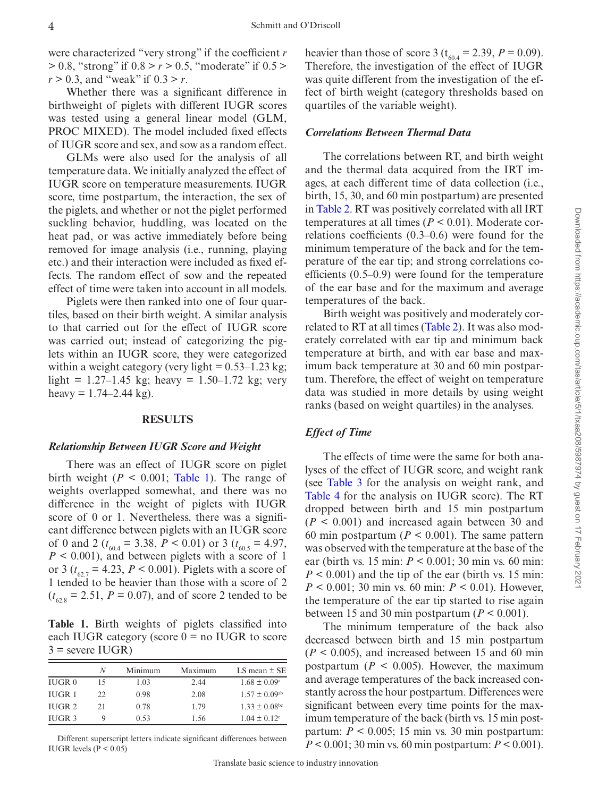were characterized "very strong" if the coefficient *r* > 0.8, "strong" if 0.8 > *r* > 0.5, "moderate" if 0.5 > *r* > 0.3, and "weak" if 0.3 > *r*.

Whether there was a significant difference in birthweight of piglets with different IUGR scores was tested using a general linear model (GLM, PROC MIXED). The model included fixed effects of IUGR score and sex, and sow as a random effect.

GLMs were also used for the analysis of all temperature data. We initially analyzed the effect of IUGR score on temperature measurements. IUGR score, time postpartum, the interaction, the sex of the piglets, and whether or not the piglet performed suckling behavior, huddling, was located on the heat pad, or was active immediately before being removed for image analysis (i.e., running, playing etc.) and their interaction were included as fixed effects. The random effect of sow and the repeated effect of time were taken into account in all models.

Piglets were then ranked into one of four quartiles, based on their birth weight. A similar analysis to that carried out for the effect of IUGR score was carried out; instead of categorizing the piglets within an IUGR score, they were categorized within a weight category (very light  $= 0.53-1.23$  kg; light =  $1.27-1.45$  kg; heavy =  $1.50-1.72$  kg; very heavy =  $1.74 - 2.44$  kg).

## **RESULTS**

#### *Relationship Between IUGR Score and Weight*

There was an effect of IUGR score on piglet birth weight  $(P < 0.001$ ; Table 1). The range of weights overlapped somewhat, and there was no difference in the weight of piglets with IUGR score of 0 or 1. Nevertheless, there was a significant difference between piglets with an IUGR score of 0 and 2 ( $t_{60.4} = 3.38$ ,  $P < 0.01$ ) or 3 ( $t_{60.5} = 4.97$ ,  $P \leq 0.001$ , and between piglets with a score of 1 or 3 ( $t_{62.7} = 4.23$ ,  $P < 0.001$ ). Piglets with a score of 1 tended to be heavier than those with a score of 2  $(t_{62.8} = 2.51, P = 0.07)$ , and of score 2 tended to be

<span id="page-4-0"></span>**Table 1.**  Birth weights of piglets classified into each IUGR category (score  $0 =$  no IUGR to score  $3$  = severe IUGR)

|                   | N  | Minimum | Maximum | LS mean $\pm$ SE              |
|-------------------|----|---------|---------|-------------------------------|
| IUGR 0            | 15 | 1.03    | 2.44    | $1.68 \pm 0.09^{\rm a}$       |
| IUGR <sub>1</sub> | 22 | 0.98    | 2.08    | $1.57 \pm 0.09$ <sup>ab</sup> |
| IUGR <sub>2</sub> | 21 | 0.78    | 1.79    | $1.33 \pm 0.08$ bc            |
| IUGR <sub>3</sub> |    | 0.53    | 1.56    | $1.04 \pm 0.12$ <sup>c</sup>  |

Different superscript letters indicate significant differences between IUGR levels ( $P < 0.05$ )

heavier than those of score 3 ( $t_{60.4} = 2.39$ ,  $P = 0.09$ ). Therefore, the investigation of the effect of IUGR was quite different from the investigation of the effect of birth weight (category thresholds based on quartiles of the variable weight).

## *Correlations Between Thermal Data*

The correlations between RT, and birth weight and the thermal data acquired from the IRT images, at each different time of data collection (i.e., birth, 15, 30, and 60 min postpartum) are presented in [Table 2](#page-5-0). RT was positively correlated with all IRT temperatures at all times ( $P < 0.01$ ). Moderate correlations coefficients (0.3–0.6) were found for the minimum temperature of the back and for the temperature of the ear tip; and strong correlations coefficients (0.5–0.9) were found for the temperature of the ear base and for the maximum and average temperatures of the back.

Birth weight was positively and moderately correlated to RT at all times ([Table 2](#page-5-0)). It was also moderately correlated with ear tip and minimum back temperature at birth, and with ear base and maximum back temperature at 30 and 60 min postpartum. Therefore, the effect of weight on temperature data was studied in more details by using weight ranks (based on weight quartiles) in the analyses.

## *Effect of Time*

The effects of time were the same for both analyses of the effect of IUGR score, and weight rank (see Table 3 for the analysis on weight rank, and [Table 4](#page-6-0) for the analysis on IUGR score). The RT dropped between birth and 15 min postpartum  $(P < 0.001)$  and increased again between 30 and 60 min postpartum ( $P < 0.001$ ). The same pattern was observed with the temperature at the base of the ear (birth vs. 15 min: *P* < 0.001; 30 min vs. 60 min:  $P \leq 0.001$ ) and the tip of the ear (birth vs. 15 min: *P* < 0.001; 30 min vs. 60 min: *P* < 0.01). However, the temperature of the ear tip started to rise again between 15 and 30 min postpartum  $(P < 0.001)$ .

The minimum temperature of the back also decreased between birth and 15 min postpartum  $(P < 0.005)$ , and increased between 15 and 60 min postpartum ( $P < 0.005$ ). However, the maximum and average temperatures of the back increased constantly across the hour postpartum. Differences were significant between every time points for the maximum temperature of the back (birth vs. 15 min postpartum:  $P < 0.005$ ; 15 min vs. 30 min postpartum: *P* < 0.001; 30 min vs. 60 min postpartum: *P* < 0.001).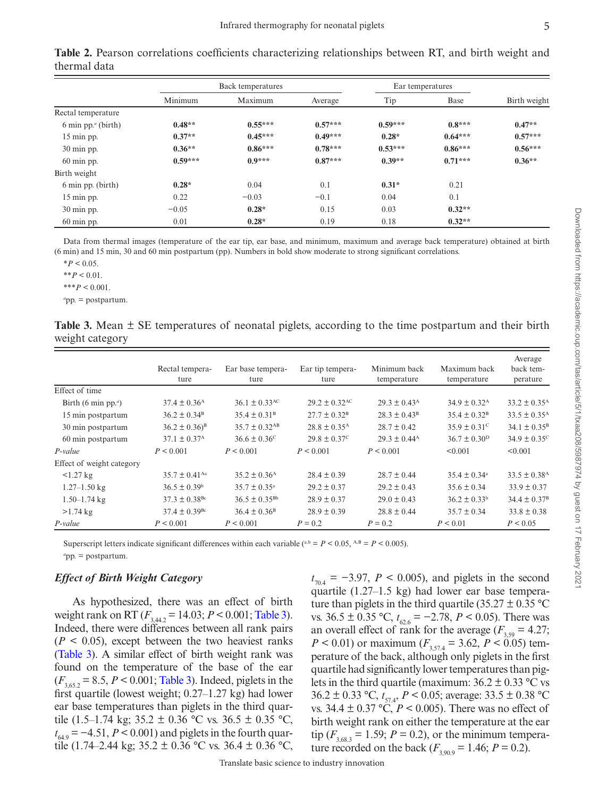|                                       | Back temperatures |           |           | Ear temperatures |           |              |
|---------------------------------------|-------------------|-----------|-----------|------------------|-----------|--------------|
|                                       | Minimum           | Maximum   | Average   | Tip              | Base      | Birth weight |
| Rectal temperature                    |                   |           |           |                  |           |              |
| $6 \text{ min pp.}^a \text{ (birth)}$ | $0.48**$          | $0.55***$ | $0.57***$ | $0.59***$        | $0.8***$  | $0.47**$     |
| 15 min pp.                            | $0.37**$          | $0.45***$ | $0.49***$ | $0.28*$          | $0.64***$ | $0.57***$    |
| 30 min pp.                            | $0.36**$          | $0.86***$ | $0.78***$ | $0.53***$        | $0.86***$ | $0.56***$    |
| $60 \text{ min }$ pp.                 | $0.59***$         | $0.9***$  | $0.87***$ | $0.39**$         | $0.71***$ | $0.36**$     |
| Birth weight                          |                   |           |           |                  |           |              |
| 6 min pp. (birth)                     | $0.28*$           | 0.04      | 0.1       | $0.31*$          | 0.21      |              |
| 15 min pp.                            | 0.22              | $-0.03$   | $-0.1$    | 0.04             | 0.1       |              |
| 30 min pp.                            | $-0.05$           | $0.28*$   | 0.15      | 0.03             | $0.32**$  |              |
| $60 \text{ min }$ pp.                 | 0.01              | $0.28*$   | 0.19      | 0.18             | $0.32**$  |              |

<span id="page-5-0"></span>**Table 2.** Pearson correlations coefficients characterizing relationships between RT, and birth weight and thermal data

Data from thermal images (temperature of the ear tip, ear base, and minimum, maximum and average back temperature) obtained at birth (6 min) and 15 min, 30 and 60 min postpartum (pp). Numbers in bold show moderate to strong significant correlations.

 $*P < 0.05$ .

\*\**P* < 0.01.

 $***P<0.001$ .

*a* pp. = postpartum.

<span id="page-5-1"></span>

| Table 3. Mean $\pm$ SE temperatures of neonatal piglets, according to the time postpartum and their birth |  |  |  |  |  |
|-----------------------------------------------------------------------------------------------------------|--|--|--|--|--|
| weight category                                                                                           |  |  |  |  |  |

|                             | Rectal tempera-<br>ture       | Ear base tempera-<br>ture     | Ear tip tempera-<br>ture     | Minimum back<br>temperature | Maximum back<br>temperature  | Average<br>back tem-<br>perature |
|-----------------------------|-------------------------------|-------------------------------|------------------------------|-----------------------------|------------------------------|----------------------------------|
| Effect of time              |                               |                               |                              |                             |                              |                                  |
| Birth (6 min pp. $\alpha$ ) | $37.4 \pm 0.36$ <sup>A</sup>  | $36.1 \pm 0.33$ <sup>AC</sup> | $29.2 \pm 0.32^{\text{AC}}$  | $29.3 \pm 0.43^{\rm A}$     | $34.9 \pm 0.32$ <sup>A</sup> | $33.2 \pm 0.35$ <sup>A</sup>     |
| 15 min postpartum           | $36.2 \pm 0.34^{\rm B}$       | $35.4 \pm 0.31^{\circ}$       | $27.7 \pm 0.32^{\rm B}$      | $28.3 \pm 0.43^{\rm B}$     | $35.4 \pm 0.32^{\rm B}$      | $33.5 \pm 0.35$ <sup>A</sup>     |
| 30 min postpartum           | $36.2 \pm 0.36$ <sup>B</sup>  | $35.7 \pm 0.32$ <sup>AB</sup> | $28.8 \pm 0.35$ <sup>A</sup> | $28.7 \pm 0.42$             | $35.9 \pm 0.31$ <sup>c</sup> | $34.1 \pm 0.35^{\rm B}$          |
| 60 min postpartum           | $37.1 \pm 0.37$ <sup>A</sup>  | $36.6 \pm 0.36^{\circ}$       | $29.8 \pm 0.37^{\circ}$      | $29.3 \pm 0.44^{\text{A}}$  | $36.7 \pm 0.30^{\rm D}$      | $34.9 \pm 0.35^{\circ}$          |
| $P$ -value                  | P < 0.001                     | P < 0.001                     | P < 0.001                    | P < 0.001                   | < 0.001                      | < 0.001                          |
| Effect of weight category   |                               |                               |                              |                             |                              |                                  |
| $1.27 \text{ kg}$           | $35.7 \pm 0.41$ <sup>Aa</sup> | $35.2 \pm 0.36$ <sup>A</sup>  | $28.4 \pm 0.39$              | $28.7 \pm 0.44$             | $35.4 \pm 0.34$ <sup>a</sup> | $33.5 \pm 0.38$ <sup>A</sup>     |
| $1.27 - 1.50$ kg            | $36.5 \pm 0.39^{\circ}$       | $35.7 \pm 0.35^{\circ}$       | $29.2 \pm 0.37$              | $29.2 \pm 0.43$             | $35.6 \pm 0.34$              | $33.9 \pm 0.37$                  |
| $1.50 - 1.74$ kg            | $37.3 \pm 0.38$ <sup>Bc</sup> | $36.5 \pm 0.35^{Bb}$          | $28.9 \pm 0.37$              | $29.0 \pm 0.43$             | $36.2 \pm 0.33^b$            | $34.4 \pm 0.37^{\rm B}$          |
| $>1.74$ kg                  | $37.4 \pm 0.39$ <sup>Bc</sup> | $36.4 \pm 0.36^{\circ}$       | $28.9 \pm 0.39$              | $28.8 \pm 0.44$             | $35.7 \pm 0.34$              | $33.8 \pm 0.38$                  |
| P-value                     | P < 0.001                     | P < 0.001                     | $P = 0.2$                    | $P = 0.2$                   | P < 0.01                     | P < 0.05                         |

Superscript letters indicate significant differences within each variable (a,b =  $P$  < 0.05, A,B =  $P$  < 0.005). *a* pp. = postpartum.

## *Effect of Birth Weight Category*

As hypothesized, there was an effect of birth weight rank on RT  $(F_{3,44,2} = 14.03; P \le 0.001;$  [Table 3\)](#page-5-1). Indeed, there were differences between all rank pairs  $(P < 0.05)$ , except between the two heaviest ranks [\(Table 3\)](#page-5-1). A similar effect of birth weight rank was found on the temperature of the base of the ear  $(F_{3,65,2} = 8.5, P \le 0.001;$  [Table 3\)](#page-5-1). Indeed, piglets in the first quartile (lowest weight; 0.27–1.27 kg) had lower ear base temperatures than piglets in the third quartile (1.5–1.74 kg; 35.2  $\pm$  0.36 °C vs. 36.5  $\pm$  0.35 °C, *t*<sub>64.9</sub> = −4.51, *P* < 0.001) and piglets in the fourth quartile (1.74–2.44 kg;  $35.2 \pm 0.36$  °C vs.  $36.4 \pm 0.36$  °C,

 $t_{70.4}$  =  $-3.97$ , *P* < 0.005), and piglets in the second quartile (1.27–1.5 kg) had lower ear base temperature than piglets in the third quartile (35.27  $\pm$  0.35 °C vs.  $36.5 \pm 0.35$  °C,  $t_{62.6} = -2.78$ ,  $P < 0.05$ ). There was an overall effect of rank for the average ( $F_{3.59} = 4.27$ ;  $P < 0.01$ ) or maximum ( $F_{3,57.4} = 3.62$ ,  $P < 0.05$ ) temperature of the back, although only piglets in the first quartile had significantly lower temperatures than piglets in the third quartile (maximum:  $36.2 \pm 0.33$  °C vs 36.2 ± 0.33 °C, *t* 57.4, *P* < 0.05; average: 33.5 ± 0.38 °C vs.  $34.4 \pm 0.37$  °C,  $P < 0.005$ ). There was no effect of birth weight rank on either the temperature at the ear tip  $(F_{3.683} = 1.59; P = 0.2)$ , or the minimum temperature recorded on the back ( $F_{3,90.9} = 1.46$ ;  $P = 0.2$ ).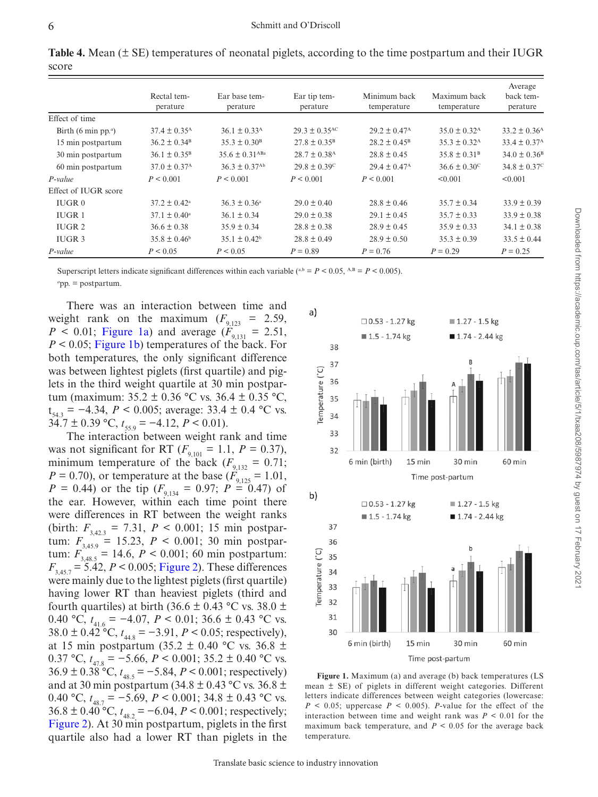<span id="page-6-0"></span>**Table 4.** Mean (± SE) temperatures of neonatal piglets, according to the time postpartum and their IUGR score

|                                              |                              |                                |                              |                              |                              | Average                      |
|----------------------------------------------|------------------------------|--------------------------------|------------------------------|------------------------------|------------------------------|------------------------------|
|                                              | Rectal tem-                  | Ear base tem-                  | Ear tip tem-                 | Minimum back                 | Maximum back                 | back tem-                    |
|                                              | perature                     | perature                       | perature                     | temperature                  | temperature                  | perature                     |
| Effect of time                               |                              |                                |                              |                              |                              |                              |
| Birth (6 min pp. <sup><math>a</math></sup> ) | $37.4 \pm 0.35$ <sup>A</sup> | $36.1 \pm 0.33$ <sup>A</sup>   | $29.3 \pm 0.35^{\text{AC}}$  | $29.2 \pm 0.47^{\rm A}$      | $35.0 \pm 0.32$ <sup>A</sup> | $33.2 \pm 0.36$ <sup>A</sup> |
| 15 min postpartum                            | $36.2 \pm 0.34^{\rm B}$      | $35.3 \pm 0.30^{\rm B}$        | $27.8 \pm 0.35^{\rm B}$      | $28.2 \pm 0.45^{\rm B}$      | $35.3 \pm 0.32$ <sup>A</sup> | $33.4 \pm 0.37$ <sup>A</sup> |
| 30 min postpartum                            | $36.1 \pm 0.35^{\rm B}$      | $35.6 \pm 0.31$ <sup>ABa</sup> | $28.7 \pm 0.38$ <sup>A</sup> | $28.8 \pm 0.45$              | $35.8 \pm 0.31^{\circ}$      | $34.0 \pm 0.36$ <sup>B</sup> |
| 60 min postpartum                            | $37.0 \pm 0.37$ <sup>A</sup> | $36.3 \pm 0.37$ <sup>Ab</sup>  | $29.8 \pm 0.39$ <sup>c</sup> | $29.4 \pm 0.47$ <sup>A</sup> | $36.6 \pm 0.30^{\circ}$      | $34.8 \pm 0.37^{\circ}$      |
| $P-value$                                    | P < 0.001                    | P < 0.001                      | P < 0.001                    | P < 0.001                    | < 0.001                      | < 0.001                      |
| Effect of IUGR score                         |                              |                                |                              |                              |                              |                              |
| IUGR <sub>0</sub>                            | $37.2 \pm 0.42^{\circ}$      | $36.3 \pm 0.36^{\circ}$        | $29.0 \pm 0.40$              | $28.8 \pm 0.46$              | $35.7 \pm 0.34$              | $33.9 \pm 0.39$              |
| IUGR <sub>1</sub>                            | $37.1 \pm 0.40^{\circ}$      | $36.1 \pm 0.34$                | $29.0 \pm 0.38$              | $29.1 \pm 0.45$              | $35.7 \pm 0.33$              | $33.9 \pm 0.38$              |
| IUGR <sub>2</sub>                            | $36.6 \pm 0.38$              | $35.9 \pm 0.34$                | $28.8 \pm 0.38$              | $28.9 \pm 0.45$              | $35.9 \pm 0.33$              | $34.1 \pm 0.38$              |
| IUGR <sub>3</sub>                            | $35.8 \pm 0.46^b$            | $35.1 \pm 0.42^b$              | $28.8 \pm 0.49$              | $28.9 \pm 0.50$              | $35.3 \pm 0.39$              | $33.5 \pm 0.44$              |
| P-value                                      | P < 0.05                     | P < 0.05                       | $P = 0.89$                   | $P = 0.76$                   | $P = 0.29$                   | $P = 0.25$                   |

Superscript letters indicate significant differences within each variable (a,b =  $P$  < 0.05, A,B =  $P$  < 0.005).

*a* pp. = postpartum.

There was an interaction between time and weight rank on the maximum  $(F_{9,123} = 2.59)$ , *P* < 0.01; Figure 1a) and average  $(F_{9,131} = 2.51,$ *P* < 0.05; [Figure 1b\)](#page-6-1) temperatures of the back. For both temperatures, the only significant difference was between lightest piglets (first quartile) and piglets in the third weight quartile at 30 min postpartum (maximum: 35.2 ± 0.36 °C vs. 36.4 ± 0.35 °C,  $t_{54.3} = -4.34$ ,  $P < 0.005$ ; average: 33.4 ± 0.4 °C vs.  $34.7 \pm 0.39$  °C,  $t_{55.9} = -4.12, P \le 0.01$ ).

The interaction between weight rank and time was not significant for RT ( $F_{9,101} = 1.1$ ,  $P = 0.37$ ), minimum temperature of the back ( $F_{9,132} = 0.71$ ;  $P = 0.70$ ), or temperature at the base ( $\ddot{F}_{9,125} = 1.01$ ,  $P = 0.44$ ) or the tip ( $F_{9,134} = 0.97$ ;  $P = 0.47$ ) of the ear. However, within each time point there were differences in RT between the weight ranks (birth:  $F_{3423} = 7.31$ ,  $P < 0.001$ ; 15 min postpartum:  $F_{3,45.9} = 15.23, P < 0.001; 30 \text{ min postpar-}$ tum:  $F_{3,48.5} = 14.6$ ,  $P < 0.001$ ; 60 min postpartum:  $F_{3,45,7} = 5.42, P < 0.005$ ; [Figure 2\)](#page-7-0). These differences were mainly due to the lightest piglets (first quartile) having lower RT than heaviest piglets (third and fourth quartiles) at birth (36.6  $\pm$  0.43 °C vs. 38.0  $\pm$ 0.40 °C,  $t_{41.6}$  = -4.07,  $P < 0.01$ ; 36.6 ± 0.43 °C vs. 38.0 ± 0.42 °C, *t* 44.8 = −3.91, *P* < 0.05; respectively), at 15 min postpartum (35.2  $\pm$  0.40 °C vs. 36.8  $\pm$ 0.37 °C,  $t_{47.8}$  = −5.66, *P* < 0.001; 35.2 ± 0.40 °C vs.  $36.9 \pm 0.38$  °C,  $t_{48.5} = -5.84$ ,  $P < 0.001$ ; respectively) and at 30 min postpartum (34.8  $\pm$  0.43 °C vs. 36.8  $\pm$ 0.40 °C,  $t_{48.7}$  = -5.69,  $P < 0.001$ ; 34.8 ± 0.43 °C vs.  $36.8 \pm 0.40^{\circ}$ °C,  $t_{48.2} = -6.04$ ,  $P < 0.001$ ; respectively; [Figure 2\)](#page-7-0). At 30 min postpartum, piglets in the first quartile also had a lower RT than piglets in the



<span id="page-6-1"></span>**Figure 1.** Maximum (a) and average (b) back temperatures (LS mean ± SE) of piglets in different weight categories. Different letters indicate differences between weight categories (lowercase:  $P \le 0.05$ ; uppercase  $P \le 0.005$ ). *P*-value for the effect of the interaction between time and weight rank was  $P < 0.01$  for the maximum back temperature, and  $P < 0.05$  for the average back temperature.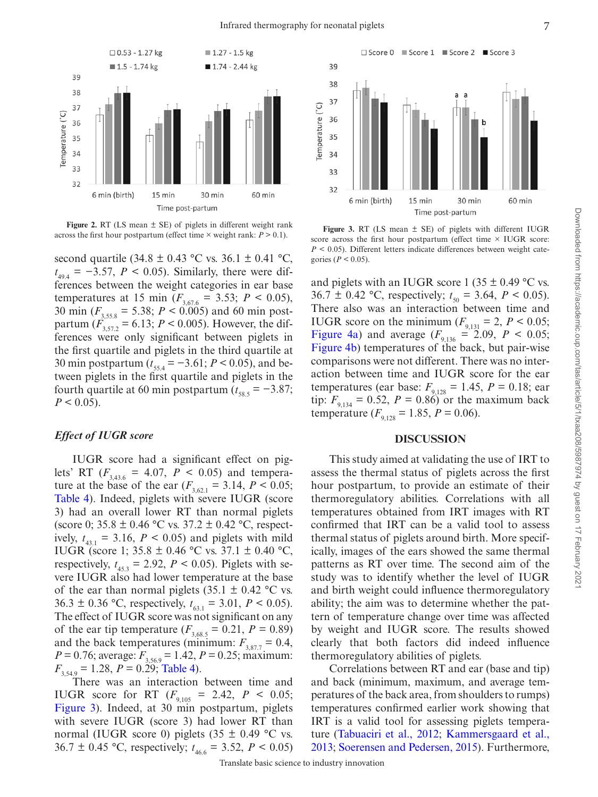

<span id="page-7-0"></span>**Figure 2.** RT (LS mean ± SE) of piglets in different weight rank **Figure 2.** RT (LS mean  $\pm$  SE) of piglets in different weight rank:  $P > 0.1$ ). **Figure 3.** RT (LS mean  $\pm$  SE) of piglets with different IUGR across the first hour postpartum (effect time  $\times$  MICR accross the first ho

second quartile (34.8  $\pm$  0.43 °C vs. 36.1  $\pm$  0.41 °C,  $t_{494} = -3.57, P \le 0.05$ . Similarly, there were differences between the weight categories in ear base temperatures at 15 min ( $F_{3,67.6}$  = 3.53;  $P < 0.05$ ), 30 min (*F*3,55.8 = 5.38; *P* < 0.005) and 60 min postpartum  $(F_{3,57.2} = 6.13; P \le 0.005)$ . However, the differences were only significant between piglets in the first quartile and piglets in the third quartile at 30 min postpartum ( $t_{55,4} = -3.61$ ;  $P < 0.05$ ), and between piglets in the first quartile and piglets in the fourth quartile at 60 min postpartum  $(t_{\text{ss,s}} = -3.87;$  $P < 0.05$ ).

### *Effect of IUGR score*

IUGR score had a significant effect on piglets' RT ( $F_{3,43.6}$  = 4.07,  $P$  < 0.05) and temperature at the base of the ear  $(F_{3621} = 3.14, P \le 0.05;$ [Table 4\)](#page-6-0). Indeed, piglets with severe IUGR (score 3) had an overall lower RT than normal piglets (score 0;  $35.8 \pm 0.46$  °C vs.  $37.2 \pm 0.42$  °C, respectively,  $t_{43}$  = 3.16,  $P < 0.05$ ) and piglets with mild IUGR (score 1; 35.8 ± 0.46 °C vs. 37.1 ± 0.40 °C, respectively,  $t_{453} = 2.92$ ,  $P < 0.05$ ). Piglets with severe IUGR also had lower temperature at the base of the ear than normal piglets  $(35.1 \pm 0.42 \degree C \text{ vs.})$ 36.3 ± 0.36 °C, respectively,  $t_{63.1} = 3.01$ ,  $P < 0.05$ ). The effect of IUGR score was not significant on any of the ear tip temperature ( $F_{3,68.5} = 0.21$ ,  $P = 0.89$ ) and the back temperatures (minimum:  $F_{3,877} = 0.4$ ,  $P = 0.76$ ; average:  $F_{3,56.9} = 1.42$ ,  $P = 0.25$ ; maximum:  $F_{3,54.9} = 1.28$ ,  $P = 0.29$ ; [Table 4\)](#page-6-0).

There was an interaction between time and IUGR score for RT  $(F_{9,105} = 2.42, P \le 0.05;$ Figure 3). Indeed, at 30 min postpartum, piglets with severe IUGR (score 3) had lower RT than normal (IUGR score 0) piglets (35  $\pm$  0.49 °C vs. 36.7  $\pm$  0.45 °C, respectively;  $t_{46.6} = 3.52, P \le 0.05$ )



<span id="page-7-1"></span>score across the first hour postpartum (effect time  $\times$  IUGR score:  $P < 0.05$ ). Different letters indicate differences between weight categories ( $P < 0.05$ ).

and piglets with an IUGR score 1 (35  $\pm$  0.49 °C vs. 36.7  $\pm$  0.42 °C, respectively;  $t_{50} = 3.64$ ,  $P < 0.05$ ). There also was an interaction between time and IUGR score on the minimum ( $F_{9,131} = 2$ ,  $P < 0.05$ ; Figure 4a) and average  $(F_{9,136} = 2.09, P < 0.05;$ [Figure 4b](#page-8-0)) temperatures of the back, but pair-wise comparisons were not different. There was no interaction between time and IUGR score for the ear temperatures (ear base:  $F_{9,128} = 1.45$ ,  $P = 0.18$ ; ear tip:  $F_{9,134} = 0.52$ ,  $P = 0.86$  or the maximum back temperature ( $F_{9,128} = 1.85$ ,  $P = 0.06$ ).

#### **DISCUSSION**

This study aimed at validating the use of IRT to assess the thermal status of piglets across the first hour postpartum, to provide an estimate of their thermoregulatory abilities. Correlations with all temperatures obtained from IRT images with RT confirmed that IRT can be a valid tool to assess thermal status of piglets around birth. More specifically, images of the ears showed the same thermal patterns as RT over time. The second aim of the study was to identify whether the level of IUGR and birth weight could influence thermoregulatory ability; the aim was to determine whether the pattern of temperature change over time was affected by weight and IUGR score. The results showed clearly that both factors did indeed influence thermoregulatory abilities of piglets.

Correlations between RT and ear (base and tip) and back (minimum, maximum, and average temperatures of the back area, from shoulders to rumps) temperatures confirmed earlier work showing that IRT is a valid tool for assessing piglets temperature [\(Tabuaciri et al., 2012;](#page-9-10) [Kammersgaard et al.,](#page-9-13) [2013;](#page-9-13) [Soerensen and Pedersen, 2015](#page-9-11)). Furthermore,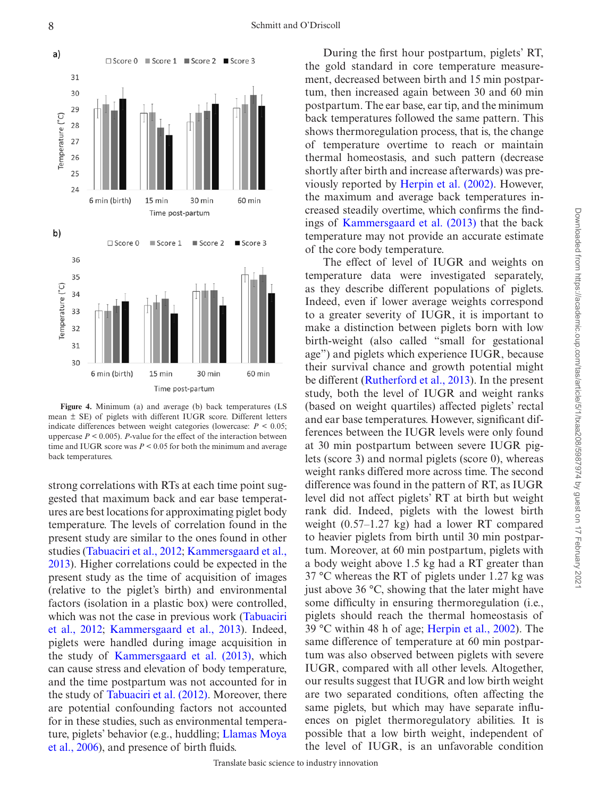

<span id="page-8-0"></span>**Figure 4.** Minimum (a) and average (b) back temperatures (LS mean ± SE) of piglets with different IUGR score. Different letters indicate differences between weight categories (lowercase:  $P < 0.05$ ; uppercase  $P < 0.005$ ). *P*-value for the effect of the interaction between time and IUGR score was  $P \leq 0.05$  for both the minimum and average back temperatures.

strong correlations with RTs at each time point suggested that maximum back and ear base temperatures are best locations for approximating piglet body temperature. The levels of correlation found in the present study are similar to the ones found in other studies ([Tabuaciri et al., 2012;](#page-9-10) [Kammersgaard et al.,](#page-9-13)  [2013\)](#page-9-13). Higher correlations could be expected in the present study as the time of acquisition of images (relative to the piglet's birth) and environmental factors (isolation in a plastic box) were controlled, which was not the case in previous work [\(Tabuaciri](#page-9-10) [et al., 2012;](#page-9-10) [Kammersgaard et al., 2013](#page-9-13)). Indeed, piglets were handled during image acquisition in the study of [Kammersgaard et al. \(2013\)](#page-9-13), which can cause stress and elevation of body temperature, and the time postpartum was not accounted for in the study of [Tabuaciri et al. \(2012\)](#page-9-10). Moreover, there are potential confounding factors not accounted for in these studies, such as environmental temperature, piglets' behavior (e.g., huddling; [Llamas Moya](#page-9-16)  [et al., 2006\)](#page-9-16), and presence of birth fluids.

During the first hour postpartum, piglets' RT, the gold standard in core temperature measurement, decreased between birth and 15 min postpartum, then increased again between 30 and 60 min postpartum. The ear base, ear tip, and the minimum back temperatures followed the same pattern. This shows thermoregulation process, that is, the change of temperature overtime to reach or maintain thermal homeostasis, and such pattern (decrease shortly after birth and increase afterwards) was previously reported by [Herpin et al. \(2002\)](#page-9-4). However, the maximum and average back temperatures increased steadily overtime, which confirms the findings of [Kammersgaard et al. \(2013\)](#page-9-13) that the back temperature may not provide an accurate estimate of the core body temperature.

The effect of level of IUGR and weights on temperature data were investigated separately, as they describe different populations of piglets. Indeed, even if lower average weights correspond to a greater severity of IUGR, it is important to make a distinction between piglets born with low birth-weight (also called "small for gestational age") and piglets which experience IUGR, because their survival chance and growth potential might be different [\(Rutherford et al., 2013\)](#page-9-17). In the present study, both the level of IUGR and weight ranks (based on weight quartiles) affected piglets' rectal and ear base temperatures. However, significant differences between the IUGR levels were only found at 30 min postpartum between severe IUGR piglets (score 3) and normal piglets (score 0), whereas weight ranks differed more across time. The second difference was found in the pattern of RT, as IUGR level did not affect piglets' RT at birth but weight rank did. Indeed, piglets with the lowest birth weight (0.57–1.27 kg) had a lower RT compared to heavier piglets from birth until 30 min postpartum. Moreover, at 60 min postpartum, piglets with a body weight above 1.5 kg had a RT greater than 37 °C whereas the RT of piglets under 1.27 kg was just above 36 °C, showing that the later might have some difficulty in ensuring thermoregulation (i.e., piglets should reach the thermal homeostasis of 39 °C within 48 h of age; [Herpin et al., 2002\)](#page-9-4). The same difference of temperature at 60 min postpartum was also observed between piglets with severe IUGR, compared with all other levels. Altogether, our results suggest that IUGR and low birth weight are two separated conditions, often affecting the same piglets, but which may have separate influences on piglet thermoregulatory abilities. It is possible that a low birth weight, independent of the level of IUGR, is an unfavorable condition